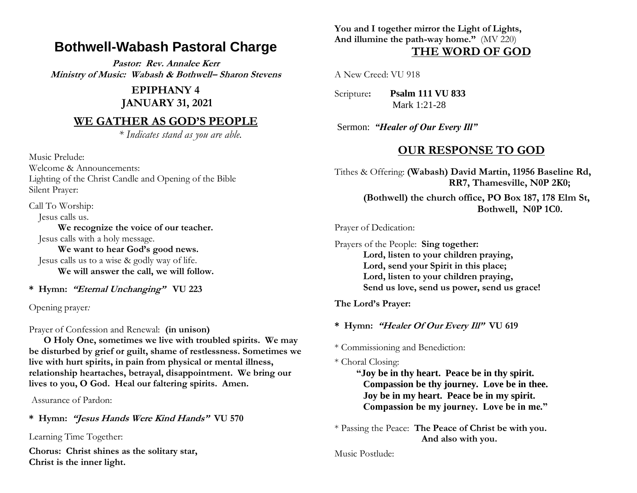# **Bothwell-Wabash Pastoral Charge**

**Pastor: Rev. Annalee Kerr Ministry of Music: Wabash & Bothwell– Sharon Stevens**

> **EPIPHANY 4 JANUARY 31, 2021**

### **WE GATHER AS GOD'S PEOPLE**

*\* Indicates stand as you are able.*

Music Prelude:

Welcome & Announcements: Lighting of the Christ Candle and Opening of the Bible Silent Prayer:

Call To Worship:

Jesus calls us.

**We recognize the voice of our teacher.** Jesus calls with a holy message.

**We want to hear God's good news.** Jesus calls us to a wise & godly way of life. **We will answer the call, we will follow.**

**\* Hymn: "Eternal Unchanging" VU 223**

Opening prayer*:*

Prayer of Confession and Renewal: **(in unison)**

 **O Holy One, sometimes we live with troubled spirits. We may be disturbed by grief or guilt, shame of restlessness. Sometimes we live with hurt spirits, in pain from physical or mental illness, relationship heartaches, betrayal, disappointment. We bring our lives to you, O God. Heal our faltering spirits. Amen.**

Assurance of Pardon:

**\* Hymn: "Jesus Hands Were Kind Hands" VU 570**

Learning Time Together:

**Chorus: Christ shines as the solitary star, Christ is the inner light.**

**You and I together mirror the Light of Lights, And illumine the path-way home."** (MV 220) **THE WORD OF GOD**

A New Creed: VU 918

Scripture**: Psalm 111 VU 833** Mark 1:21-28

Sermon: *"Healer of Our Every Ill"*

### **OUR RESPONSE TO GOD**

Tithes & Offering: **(Wabash) David Martin, 11956 Baseline Rd, RR7, Thamesville, N0P 2K0;**

**(Bothwell) the church office, PO Box 187, 178 Elm St, Bothwell, N0P 1C0.** 

Prayer of Dedication:

Prayers of the People: **Sing together: Lord, listen to your children praying, Lord, send your Spirit in this place; Lord, listen to your children praying, Send us love, send us power, send us grace!**

**The Lord's Prayer:**

**\* Hymn: "Healer Of Our Every Ill" VU 619**

\* Commissioning and Benediction:

\* Choral Closing:

 **"Joy be in thy heart. Peace be in thy spirit. Compassion be thy journey. Love be in thee. Joy be in my heart. Peace be in my spirit. Compassion be my journey. Love be in me."**

\* Passing the Peace: **The Peace of Christ be with you. And also with you.**

Music Postlude: